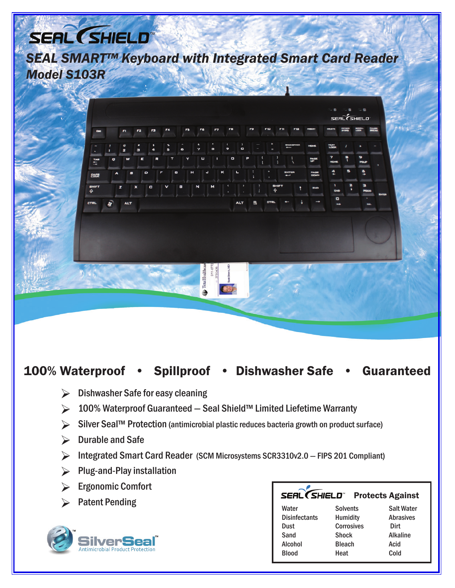# SEAL (SHIELD

*SEAL SMART™ Keyboard with Integrated Smart Card Reader Model S103R*



### 100% Waterproof • Spillproof • Dishwasher Safe • Guaranteed

- Dishwasher Safe for easy cleaning Ø
- 100% Waterproof Guaranteed Seal Shield™ Limited Liefetime Warranty Ø
- Silver Seal™ Protection (antimicrobial plastic reduces bacteria growth on product surface) Ø
- Durable and Safe Ø
- Integrated Smart Card Reader (SCM Microsystems SCR3310v2.0 FIPS 201 Compliant) Ø
- Plug-and-Play installation Ø
- Ergonomic Comfort Ø
- 



### Protects Against

| <b>Patent Pending</b>                                        | _____________<br>1.000007 |                   |                   |
|--------------------------------------------------------------|---------------------------|-------------------|-------------------|
|                                                              | Water                     | <b>Solvents</b>   | <b>Salt Water</b> |
|                                                              | <b>Disinfectants</b>      | <b>Humidity</b>   | <b>Abrasives</b>  |
| <b>SilverSeal</b><br><b>Antimicrobial Product Protection</b> | <b>Dust</b>               | <b>Corrosives</b> | Dirt              |
|                                                              | Sand                      | <b>Shock</b>      | <b>Alkaline</b>   |
|                                                              | Alcohol                   | <b>Bleach</b>     | Acid              |
|                                                              | <b>Blood</b>              | Heat              | Cold              |
|                                                              |                           |                   |                   |